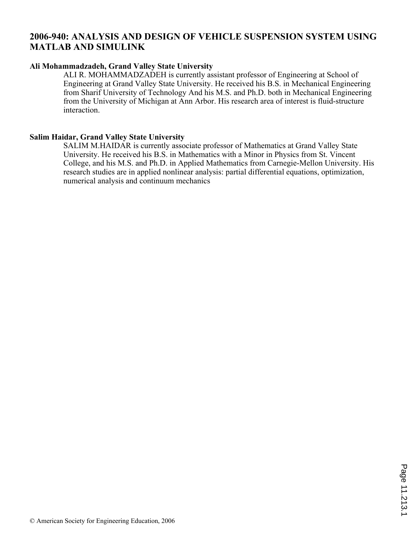# **2006-940: ANALYSIS AND DESIGN OF VEHICLE SUSPENSION SYSTEM USING MATLAB AND SIMULINK**

## **Ali Mohammadzadeh, Grand Valley State University**

ALI R. MOHAMMADZADEH is currently assistant professor of Engineering at School of Engineering at Grand Valley State University. He received his B.S. in Mechanical Engineering from Sharif University of Technology And his M.S. and Ph.D. both in Mechanical Engineering from the University of Michigan at Ann Arbor. His research area of interest is fluid-structure interaction.

### **Salim Haidar, Grand Valley State University**

SALIM M.HAIDAR is currently associate professor of Mathematics at Grand Valley State University. He received his B.S. in Mathematics with a Minor in Physics from St. Vincent College, and his M.S. and Ph.D. in Applied Mathematics from Carnegie-Mellon University. His research studies are in applied nonlinear analysis: partial differential equations, optimization, numerical analysis and continuum mechanics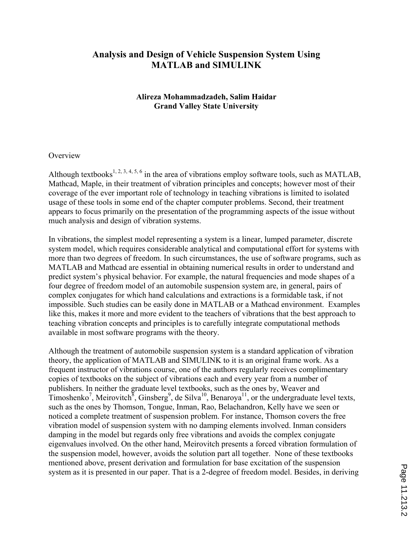# **Analysis and Design of Vehicle Suspension System Using MATLAB and SIMULINK**

## **Alireza Mohammadzadeh, Salim Haidar Grand Valley State University**

#### **Overview**

Although textbooks<sup>1, 2, 3, 4, 5, 6</sup> in the area of vibrations employ software tools, such as MATLAB, Mathcad, Maple, in their treatment of vibration principles and concepts; however most of their coverage of the ever important role of technology in teaching vibrations is limited to isolated usage of these tools in some end of the chapter computer problems. Second, their treatment appears to focus primarily on the presentation of the programming aspects of the issue without much analysis and design of vibration systems.

In vibrations, the simplest model representing a system is a linear, lumped parameter, discrete system model, which requires considerable analytical and computational effort for systems with more than two degrees of freedom. In such circumstances, the use of software programs, such as MATLAB and Mathcad are essential in obtaining numerical results in order to understand and predict system's physical behavior. For example, the natural frequencies and mode shapes of a four degree of freedom model of an automobile suspension system are, in general, pairs of complex conjugates for which hand calculations and extractions is a formidable task, if not impossible. Such studies can be easily done in MATLAB or a Mathcad environment. Examples like this, makes it more and more evident to the teachers of vibrations that the best approach to teaching vibration concepts and principles is to carefully integrate computational methods available in most software programs with the theory.

Although the treatment of automobile suspension system is a standard application of vibration theory, the application of MATLAB and SIMULINK to it is an original frame work. As a frequent instructor of vibrations course, one of the authors regularly receives complimentary copies of textbooks on the subject of vibrations each and every year from a number of publishers. In neither the graduate level textbooks, such as the ones by, Weaver and Timoshenko<sup>7</sup>, Meirovitch<sup>8</sup>, Ginsberg<sup>9</sup>, de Silva<sup>10</sup>, Benaroya<sup>11</sup>, or the undergraduate level texts, such as the ones by Thomson, Tongue, Inman, Rao, Belachandron, Kelly have we seen or noticed a complete treatment of suspension problem. For instance, Thomson covers the free vibration model of suspension system with no damping elements involved. Inman considers damping in the model but regards only free vibrations and avoids the complex conjugate eigenvalues involved. On the other hand, Meirovitch presents a forced vibration formulation of the suspension model, however, avoids the solution part all together. None of these textbooks mentioned above, present derivation and formulation for base excitation of the suspension system as it is presented in our paper. That is a 2-degree of freedom model. Besides, in deriving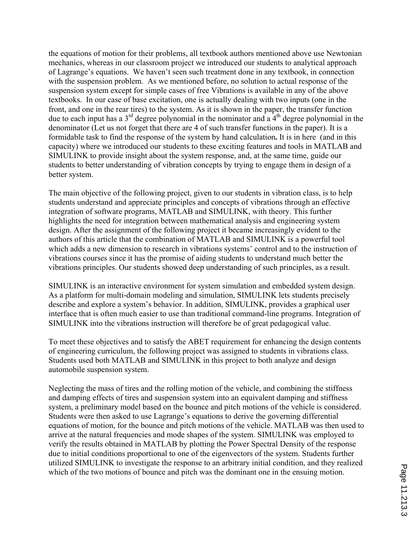the equations of motion for their problems, all textbook authors mentioned above use Newtonian mechanics, whereas in our classroom project we introduced our students to analytical approach of Lagrange's equations. We haven't seen such treatment done in any textbook, in connection with the suspension problem. As we mentioned before, no solution to actual response of the suspension system except for simple cases of free Vibrations is available in any of the above textbooks. In our case of base excitation, one is actually dealing with two inputs (one in the front, and one in the rear tires) to the system. As it is shown in the paper, the transfer function due to each input has a  $3<sup>rd</sup>$  degree polynomial in the nominator and a  $4<sup>th</sup>$  degree polynomial in the denominator (Let us not forget that there are 4 of such transfer functions in the paper). It is a formidable task to find the response of the system by hand calculation**.** It is in here (and in this capacity) where we introduced our students to these exciting features and tools in MATLAB and SIMULINK to provide insight about the system response, and, at the same time, guide our students to better understanding of vibration concepts by trying to engage them in design of a better system.

The main objective of the following project, given to our students in vibration class, is to help students understand and appreciate principles and concepts of vibrations through an effective integration of software programs, MATLAB and SIMULINK, with theory. This further highlights the need for integration between mathematical analysis and engineering system design. After the assignment of the following project it became increasingly evident to the authors of this article that the combination of MATLAB and SIMULINK is a powerful tool which adds a new dimension to research in vibrations systems' control and to the instruction of vibrations courses since it has the promise of aiding students to understand much better the vibrations principles. Our students showed deep understanding of such principles, as a result.

SIMULINK is an interactive environment for system simulation and embedded system design. As a platform for multi-domain modeling and simulation, SIMULINK lets students precisely describe and explore a system's behavior. In addition, SIMULINK, provides a graphical user interface that is often much easier to use than traditional command-line programs. Integration of SIMULINK into the vibrations instruction will therefore be of great pedagogical value.

To meet these objectives and to satisfy the ABET requirement for enhancing the design contents of engineering curriculum, the following project was assigned to students in vibrations class. Students used both MATLAB and SIMULINK in this project to both analyze and design automobile suspension system.

Neglecting the mass of tires and the rolling motion of the vehicle, and combining the stiffness and damping effects of tires and suspension system into an equivalent damping and stiffness system, a preliminary model based on the bounce and pitch motions of the vehicle is considered. Students were then asked to use Lagrange's equations to derive the governing differential equations of motion, for the bounce and pitch motions of the vehicle. MATLAB was then used to arrive at the natural frequencies and mode shapes of the system. SIMULINK was employed to verify the results obtained in MATLAB by plotting the Power Spectral Density of the response due to initial conditions proportional to one of the eigenvectors of the system. Students further utilized SIMULINK to investigate the response to an arbitrary initial condition, and they realized which of the two motions of bounce and pitch was the dominant one in the ensuing motion.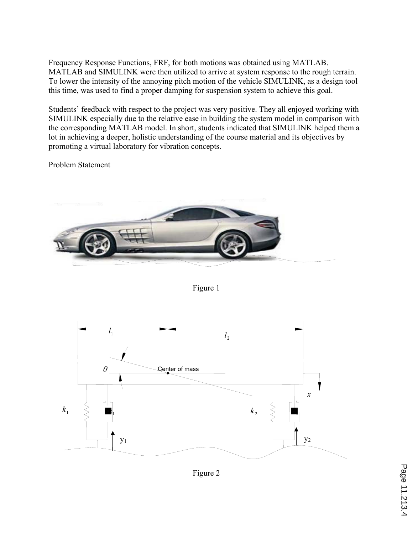Frequency Response Functions, FRF, for both motions was obtained using MATLAB. MATLAB and SIMULINK were then utilized to arrive at system response to the rough terrain. To lower the intensity of the annoying pitch motion of the vehicle SIMULINK, as a design tool this time, was used to find a proper damping for suspension system to achieve this goal.

Students' feedback with respect to the project was very positive. They all enjoyed working with SIMULINK especially due to the relative ease in building the system model in comparison with the corresponding MATLAB model. In short, students indicated that SIMULINK helped them a lot in achieving a deeper, holistic understanding of the course material and its objectives by promoting a virtual laboratory for vibration concepts.

Problem Statement



Figure 1



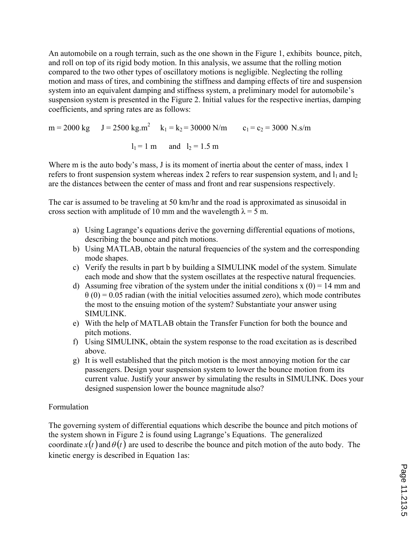An automobile on a rough terrain, such as the one shown in the Figure 1, exhibits bounce, pitch, and roll on top of its rigid body motion. In this analysis, we assume that the rolling motion compared to the two other types of oscillatory motions is negligible. Neglecting the rolling motion and mass of tires, and combining the stiffness and damping effects of tire and suspension system into an equivalent damping and stiffness system, a preliminary model for automobile's suspension system is presented in the Figure 2. Initial values for the respective inertias, damping coefficients, and spring rates are as follows:

 $m = 2000 \text{ kg}$   $J = 2500 \text{ kg} \cdot \text{m}^2$   $k_1 = k_2 = 30000 \text{ N/m}$   $c_1 = c_2 = 3000 \text{ N} \cdot \text{s/m}$  $l_1 = 1$  m and  $l_2 = 1.5$  m

Where m is the auto body's mass, J is its moment of inertia about the center of mass, index 1 refers to front suspension system whereas index 2 refers to rear suspension system, and  $l_1$  and  $l_2$ are the distances between the center of mass and front and rear suspensions respectively.

The car is assumed to be traveling at 50 km/hr and the road is approximated as sinusoidal in cross section with amplitude of 10 mm and the wavelength  $\lambda = 5$  m.

- a) Using Lagrange's equations derive the governing differential equations of motions, describing the bounce and pitch motions.
- b) Using MATLAB, obtain the natural frequencies of the system and the corresponding mode shapes.
- c) Verify the results in part b by building a SIMULINK model of the system. Simulate each mode and show that the system oscillates at the respective natural frequencies.
- d) Assuming free vibration of the system under the initial conditions  $x(0) = 14$  mm and  $\theta$  (0) = 0.05 radian (with the initial velocities assumed zero), which mode contributes the most to the ensuing motion of the system? Substantiate your answer using SIMULINK.
- e) With the help of MATLAB obtain the Transfer Function for both the bounce and pitch motions.
- f) Using SIMULINK, obtain the system response to the road excitation as is described above.
- g) It is well established that the pitch motion is the most annoying motion for the car passengers. Design your suspension system to lower the bounce motion from its current value. Justify your answer by simulating the results in SIMULINK. Does your designed suspension lower the bounce magnitude also?

## Formulation

The governing system of differential equations which describe the bounce and pitch motions of the system shown in Figure 2 is found using Lagrange's Equations. The generalized coordinate  $x(t)$  and  $\theta(t)$  are used to describe the bounce and pitch motion of the auto body. The kinetic energy is described in Equation 1as: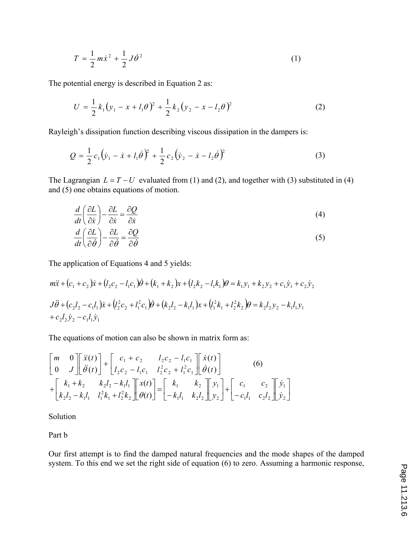$$
T = \frac{1}{2}m\dot{x}^2 + \frac{1}{2}J\dot{\theta}^2
$$
 (1)

The potential energy is described in Equation 2 as:

$$
U = \frac{1}{2}k_1(y_1 - x + l_1\theta)^2 + \frac{1}{2}k_2(y_2 - x - l_2\theta)^2
$$
 (2)

Rayleigh's dissipation function describing viscous dissipation in the dampers is:

$$
Q = \frac{1}{2}c_1(\dot{y}_1 - \dot{x} + l_1\dot{\theta})^2 + \frac{1}{2}c_2(\dot{y}_2 - \dot{x} - l_2\dot{\theta})^2
$$
 (3)

The Lagrangian  $L = T - U$  evaluated from (1) and (2), and together with (3) substituted in (4) and (5) one obtains equations of motion.

$$
\frac{d}{dt}\left(\frac{\partial L}{\partial \dot{x}}\right) - \frac{\partial L}{\partial \dot{x}} = \frac{\partial Q}{\partial \dot{x}}
$$
\n
$$
\frac{d}{dt}\left(\frac{\partial L}{\partial \dot{\theta}}\right) - \frac{\partial L}{\partial \dot{\theta}} = \frac{\partial Q}{\partial \dot{\theta}}
$$
\n(4)

The application of Equations 4 and 5 yields:

$$
m\ddot{x} + (c_1 + c_2)\dot{x} + (l_2c_2 - l_1c_1)\dot{\theta} + (k_1 + k_2)x + (l_2k_2 - l_1k_1)\theta = k_1y_1 + k_2y_2 + c_1\dot{y}_1 + c_2\dot{y}_2
$$
  
\n
$$
J\ddot{\theta} + (c_2l_2 - c_1l_1)\dot{x} + (l_2^2c_2 + l_1^2c_1)\dot{\theta} + (k_2l_2 - k_1l_1)x + (l_1^2k_1 + l_2^2k_2)\theta = k_2l_2y_2 - k_1l_1y_1
$$
  
\n
$$
+ c_2l_2\dot{y}_2 - c_1l_1\dot{y}_1
$$

The equations of motion can also be shown in matrix form as:

$$
\begin{bmatrix} m & 0 \ 0 & J \end{bmatrix} \begin{bmatrix} \ddot{x}(t) \\ \ddot{\theta}(t) \end{bmatrix} + \begin{bmatrix} c_1 + c_2 & l_2c_2 - l_1c_1 \\ l_2c_2 - l_1c_1 & l_2^2c_2 + l_1^2c_1 \end{bmatrix} \begin{bmatrix} \dot{x}(t) \\ \dot{\theta}(t) \end{bmatrix}
$$
(6)  
+ 
$$
\begin{bmatrix} k_1 + k_2 & k_2l_2 - k_1l_1 \\ k_2l_2 - k_1l_1 & l_1^2k_1 + l_2^2k_2 \end{bmatrix} \begin{bmatrix} x(t) \\ \theta(t) \end{bmatrix} = \begin{bmatrix} k_1 & k_2 \\ -k_1l_1 & k_2l_2 \end{bmatrix} \begin{bmatrix} y_1 \\ y_2 \end{bmatrix} + \begin{bmatrix} c_1 & c_2 \\ -c_1l_1 & c_2l_2 \end{bmatrix} \begin{bmatrix} \dot{y}_1 \\ \dot{y}_2 \end{bmatrix}
$$

Solution

Part b

Our first attempt is to find the damped natural frequencies and the mode shapes of the damped system. To this end we set the right side of equation (6) to zero. Assuming a harmonic response,

Ù Ú

 $\overline{\phantom{a}}$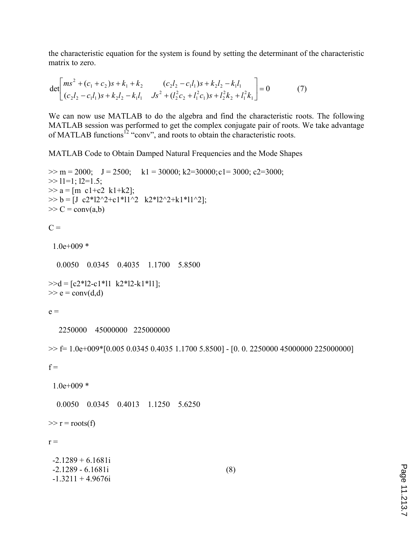the characteristic equation for the system is found by setting the determinant of the characteristic matrix to zero.

$$
\det \begin{bmatrix} ms^2 + (c_1 + c_2)s + k_1 + k_2 & (c_2l_2 - c_1l_1)s + k_2l_2 - k_1l_1 \\ (c_2l_2 - c_1l_1)s + k_2l_2 - k_1l_1 & Js^2 + (l_2^2c_2 + l_1^2c_1)s + l_2^2k_2 + l_1^2k_1 \end{bmatrix} = 0
$$
 (7)

We can now use MATLAB to do the algebra and find the characteristic roots. The following MATLAB session was performed to get the complex conjugate pair of roots. We take advantage of MATLAB functions<sup>12</sup> "conv", and roots to obtain the characteristic roots.

MATLAB Code to Obtain Damped Natural Frequencies and the Mode Shapes

```
\gg m = 2000; J = 2500; k1 = 30000; k2=30000; c1= 3000; c2=3000;
\gg 11=1; 12=1.5;
>> a = [m \text{ c1}+c2 \text{ k1}+k2];\gg b = [J c2*12^2+c1*11^2 k2*12^2+k1*11^2];\gg C = conv(a,b)
```
 $C =$ 

1.0e+009 \*

0.0050 0.0345 0.4035 1.1700 5.8500

 $\geq$  = [c2\*12-c1\*11 k2\*12-k1\*11];  $\gg$  e = conv(d,d)

 $e =$ 

2250000 45000000 225000000

 $\gg$  f= 1.0e+009\*[0.005 0.0345 0.4035 1.1700 5.8500] - [0. 0. 2250000 45000000 225000000]

 $f =$ 

1.0e+009 \*

0.0050 0.0345 0.4013 1.1250 5.6250

 $\gg r = \text{roots}(f)$ 

 $r =$ 

| $-2.1289 + 6.1681i$ |     |
|---------------------|-----|
| $-2.1289 - 6.1681i$ | (8) |
| $-1.3211 + 4.9676i$ |     |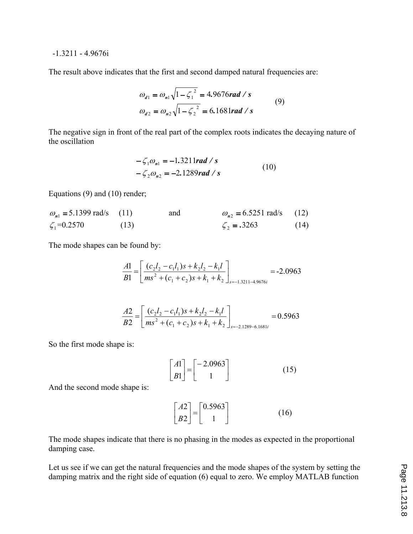#### -1.3211 - 4.9676i

The result above indicates that the first and second damped natural frequencies are:

$$
\omega_{d1} = \omega_{n1} \sqrt{1 - \zeta_1^2} = 4.9676 \text{ rad/s}
$$
  
\n
$$
\omega_{d2} = \omega_{n2} \sqrt{1 - \zeta_2^2} = 6.1681 \text{ rad/s}
$$
 (9)

The negative sign in front of the real part of the complex roots indicates the decaying nature of the oscillation

$$
-\zeta_1 \omega_{n1} = -1.3211 \text{rad/s}
$$
  

$$
-\zeta_2 \omega_{n2} = -2.1289 \text{rad/s}
$$
 (10)

Equations (9) and (10) render;

$$
\omega_{n1} = 5.1399 \text{ rad/s}
$$
 (11) and  $\omega_{n2} = 6.5251 \text{ rad/s}$  (12)  
\n $\zeta_1 = 0.2570$  (13)  $\zeta_2 = .3263$  (14)

The mode shapes can be found by:

$$
\frac{A1}{B1} = \left[ \frac{(c_2 l_2 - c_1 l_1)s + k_2 l_2 - k_1 l}{ms^2 + (c_1 + c_2)s + k_1 + k_2} \right]_{s = -1.3211 - 4.9676i} = -2.0963
$$

$$
\frac{A2}{B2} = \left[ \frac{(c_2 l_2 - c_1 l_1)s + k_2 l_2 - k_1 l}{ms^2 + (c_1 + c_2)s + k_1 + k_2} \right]_{s = -2.1289 - 6.1681i} = 0.5963
$$

So the first mode shape is:

$$
\begin{bmatrix} A1 \\ B1 \end{bmatrix} = \begin{bmatrix} -2.0963 \\ 1 \end{bmatrix}
$$
 (15)

And the second mode shape is:

$$
\begin{bmatrix} A2 \\ B2 \end{bmatrix} = \begin{bmatrix} 0.5963 \\ 1 \end{bmatrix}
$$
 (16)

The mode shapes indicate that there is no phasing in the modes as expected in the proportional damping case.

Let us see if we can get the natural frequencies and the mode shapes of the system by setting the damping matrix and the right side of equation (6) equal to zero. We employ MATLAB function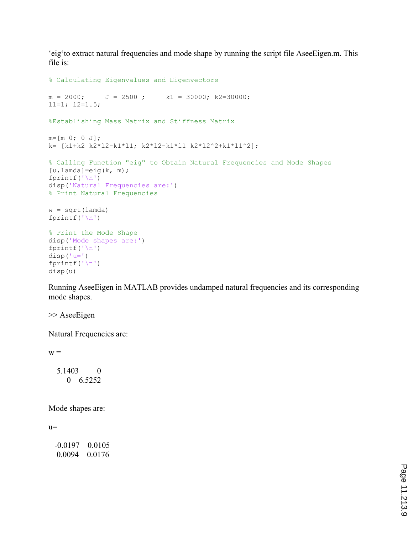'eig'to extract natural frequencies and mode shape by running the script file AseeEigen.m. This file is:

```
% Calculating Eigenvalues and Eigenvectors
m = 2000; J = 2500; k1 = 30000; k2=30000;11=1; 12=1.5;%Establishing Mass Matrix and Stiffness Matrix
m=[m 0; 0 J];k= [k1+k2 k2*l2-k1*l1; k2*l2-k1*l1 k2*l2^2+k1*l1^2];
% Calling Function "eig" to Obtain Natural Frequencies and Mode Shapes
[u, \text{lambda}] = eig(k, m);fprintf('\n\langle n' \rangledisp('Natural Frequencies are:')
% Print Natural Frequencies
w = sqrt(\text{lambda})fprintf('\n'\n')% Print the Mode Shape
disp('Mode shapes are:')
fprintf('\n\langle n' \rangledisp('u=')
fprintf('\n')
disp(u)
```
Running AseeEigen in MATLAB provides undamped natural frequencies and its corresponding mode shapes.

>> AseeEigen

Natural Frequencies are:

 $W =$ 

 5.1403 0 0 6.5252

Mode shapes are:

 $u=$ 

| -0.0197 | 0 0 1 0 5 |
|---------|-----------|
| 0.0094  | 0.0176    |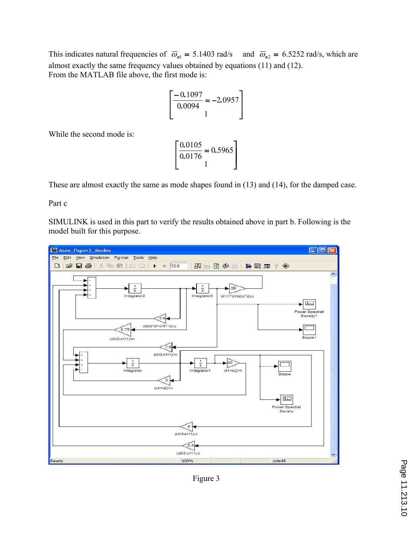This indicates natural frequencies of  $\overline{\omega}_{n1} = 5.1403$  rad/s and  $\overline{\omega}_{n2} = 6.5252$  rad/s, which are almost exactly the same frequency values obtained by equations (11) and (12). From the MATLAB file above, the first mode is:

$$
\left[\frac{-0.1097}{0.0094} = -2.0957\right]
$$

While the second mode is:

$$
\left[\frac{0.0105}{0.0176} = 0.5965\right]
$$

These are almost exactly the same as mode shapes found in (13) and (14), for the damped case.

Part c

SIMULINK is used in this part to verify the results obtained above in part b. Following is the model built for this purpose.



Figure 3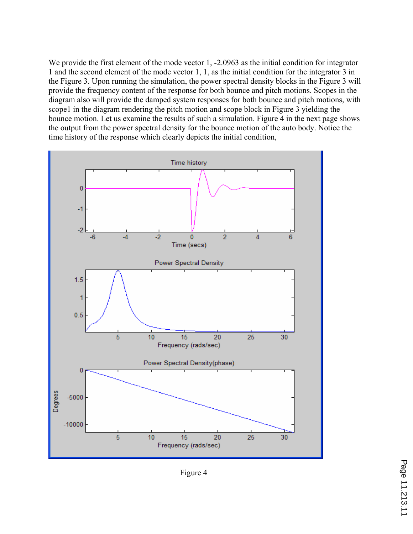We provide the first element of the mode vector 1, -2.0963 as the initial condition for integrator 1 and the second element of the mode vector 1, 1, as the initial condition for the integrator 3 in the Figure 3. Upon running the simulation, the power spectral density blocks in the Figure 3 will provide the frequency content of the response for both bounce and pitch motions. Scopes in the diagram also will provide the damped system responses for both bounce and pitch motions, with scope1 in the diagram rendering the pitch motion and scope block in Figure 3 yielding the bounce motion. Let us examine the results of such a simulation. Figure 4 in the next page shows the output from the power spectral density for the bounce motion of the auto body. Notice the time history of the response which clearly depicts the initial condition,



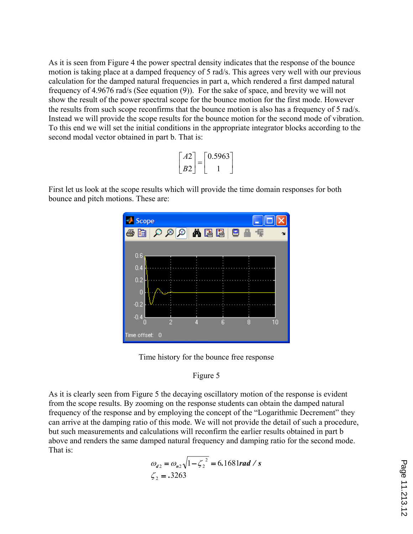As it is seen from Figure 4 the power spectral density indicates that the response of the bounce motion is taking place at a damped frequency of 5 rad/s. This agrees very well with our previous calculation for the damped natural frequencies in part a, which rendered a first damped natural frequency of 4.9676 rad/s (See equation (9)). For the sake of space, and brevity we will not show the result of the power spectral scope for the bounce motion for the first mode. However the results from such scope reconfirms that the bounce motion is also has a frequency of 5 rad/s. Instead we will provide the scope results for the bounce motion for the second mode of vibration. To this end we will set the initial conditions in the appropriate integrator blocks according to the second modal vector obtained in part b. That is:

| A2             | 0.5963 |
|----------------|--------|
| B <sub>2</sub> |        |

First let us look at the scope results which will provide the time domain responses for both bounce and pitch motions. These are:



Time history for the bounce free response



As it is clearly seen from Figure 5 the decaying oscillatory motion of the response is evident from the scope results. By zooming on the response students can obtain the damped natural frequency of the response and by employing the concept of the "Logarithmic Decrement" they can arrive at the damping ratio of this mode. We will not provide the detail of such a procedure, but such measurements and calculations will reconfirm the earlier results obtained in part b above and renders the same damped natural frequency and damping ratio for the second mode. That is:

$$
\omega_{d2} = \omega_{n2} \sqrt{1 - \zeta_2^2} = 6.1681 \text{ rad/s}
$$
  

$$
\zeta_2 = .3263
$$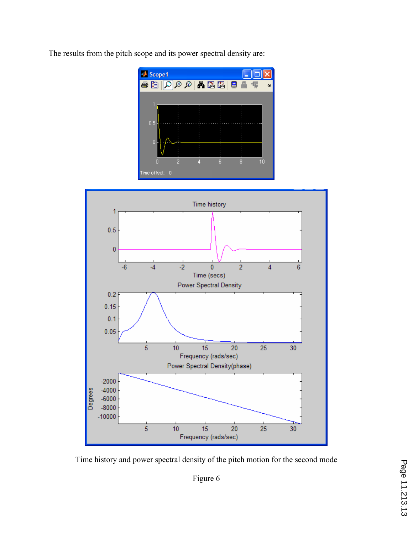The results from the pitch scope and its power spectral density are:





Time history and power spectral density of the pitch motion for the second mode

Figure 6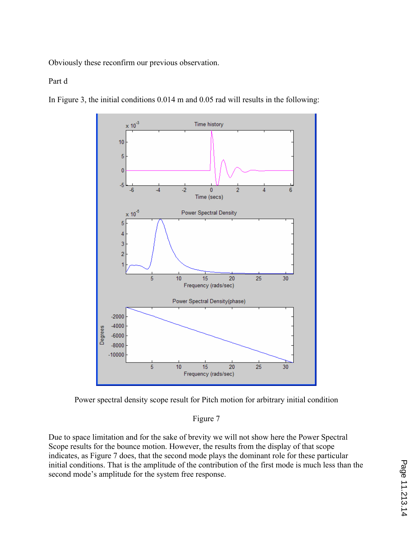Obviously these reconfirm our previous observation.

## Part d



In Figure 3, the initial conditions 0.014 m and 0.05 rad will results in the following:



# Figure 7

Due to space limitation and for the sake of brevity we will not show here the Power Spectral Scope results for the bounce motion. However, the results from the display of that scope indicates, as Figure 7 does, that the second mode plays the dominant role for these particular initial conditions. That is the amplitude of the contribution of the first mode is much less than the second mode's amplitude for the system free response.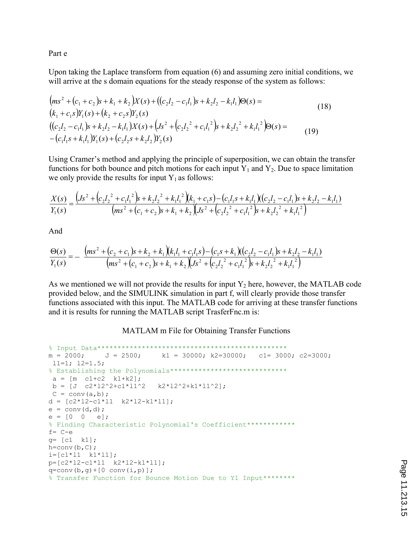Part e

Upon taking the Laplace transform from equation (6) and assuming zero initial conditions, we will arrive at the s domain equations for the steady response of the system as follows:

$$
(ms2 + (c1 + c2)s + k1 + k2)X(s) + ((c2l2 - c1l1)s + k2l2 - k1l1)\Theta(s) =(k1 + c1s)Y1(s) + (k2 + c2s)Y2(s)((c2l2 - c1l1)s + k2l2 - k1l1)X(s) + (Js2 + (c2l22 + c1l12)s + k2l22 + k1l12)\Theta(s) =-(c1l1s + k1l1)Y1(s) + (c2l2s + k2l2)Y2(s)
$$
\n(19)

Using Cramer's method and applying the principle of superposition, we can obtain the transfer functions for both bounce and pitch motions for each input  $Y_1$  and  $Y_2$ . Due to space limitation we only provide the results for input  $Y_1$  as follows:

$$
\frac{X(s)}{Y_1(s)} = \frac{\left(Js^2 + \left(c_2l_2^2 + c_1l_1^2\right)s + k_2l_2^2 + k_1l_1^2\right)(k_1 + c_1s) - \left(c_1l_1s + k_1l_1\right)\left((c_2l_2 - c_1l_1)s + k_2l_2 - k_1l_1\right)}{\left(ms^2 + \left(c_1 + c_2\right)s + k_1 + k_2\right)\left(Js^2 + \left(c_2l_2^2 + c_1l_1^2\right)s + k_2l_2^2 + k_1l_1^2\right)}
$$

And

$$
\frac{\Theta(s)}{Y_1(s)} = -\frac{(ms^2 + (c_2 + c_1)s + k_2 + k_1)(k_1l_1 + c_1l_1s) - (c_1s + k_1)((c_2l_2 - c_1l_1)s + k_2l_2 - k_1l_1)}{(ms^2 + (c_1 + c_2)s + k_1 + k_2)(Js^2 + (c_2l_2^2 + c_1l_1^2)s + k_2l_2^2 + k_1l_1^2)}
$$

As we mentioned we will not provide the results for input  $Y_2$  here, however, the MATLAB code provided below, and the SIMULINK simulation in part f, will clearly provide those transfer functions associated with this input. The MATLAB code for arriving at these transfer functions and it is results for running the MATLAB script TrasferFnc.m is:

#### MATLAM m File for Obtaining Transfer Functions

```
% Input Data***********************************************
m = 2000; J = 2500; k1 = 30000; k2=30000; c1= 3000; c2=3000; l1=1; l2=1.5;
% Establishing the Polynomials***************************** 
a = [m \ c1 + c2 \ k1 + k2];b = [J \ c2*12^2+c1*11^2 \ k2*12^2+k1*11^2];C = \text{conv}(a, b);
d = [c2*12-c1*11 \quad k2*12-k1*11];e = \text{conv}(d, d);
e = [0 \ 0 \ e];% Finding Characteristic Polynomial's Coefficient************
f= C-e
g= [c1 k1];
h=conv(b,C);i=[c1*11 \quad k1*11];p=[c2*l2-c1*l1 k2*l2-k1*l1];
q=conv(b,q)+(0 conv(i,p));% Transfer Function for Bounce Motion Due to Y1 Input********
```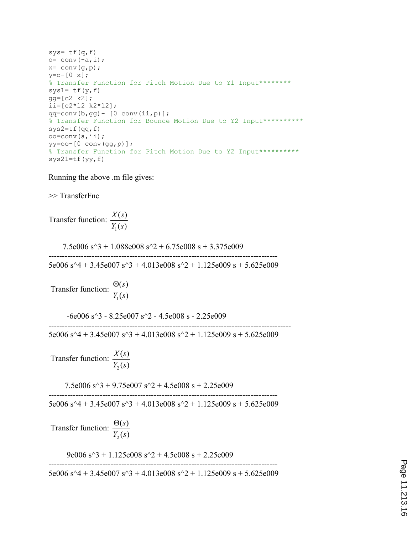```
sys= tf(q, f)o= conv(-a,i);
x= conv(g, p);
y=0-[0 x];
% Transfer Function for Pitch Motion Due to Y1 Input********
sys1= tf(y, f)gg=[c2 k2];
ii=[c2*l2 k2*l2];
qq=conv(b,gg) - [0 conv(ii,p)];% Transfer Function for Bounce Motion Due to Y2 Input**********
sys2=tf(qq, f)oo=conv(a,ii);
yy=oo-[0 conv(gg,p)];
% Transfer Function for Pitch Motion Due to Y2 Input**********
sys21=tf(yy,f)
```
Running the above .m file gives:

>> TransferFnc Transfer function:  $\left( s\right)$  $\left( s\right)$  $Y_1(s)$ *X s*  $7.5e006$  s<sup> $\land$ </sup>3 + 1.088e008 s $\land$ 2 + 6.75e008 s + 3.375e009 5e006 s^4 + 3.45e007 s^3 + 4.013e008 s^2 + 1.125e009 s + 5.625e009 Transfer function:  $\left( s\right)$  $\left( s\right)$  $Y_1(s)$  $\Theta(s)$  $-6e006$  s<sup> $\land$ </sup>3 - 8.25e007 s<sup> $\land$ </sup>2 - 4.5e008 s - 2.25e009 ------------------------------------------------------------------------------------------ 5e006 s^4 + 3.45e007 s^3 + 4.013e008 s^2 + 1.125e009 s + 5.625e009 Transfer function:  $\left( s\right)$  $\left( s\right)$  $Y_2(s)$ *X s*  $7.5e006$  s<sup> $\gamma$ </sup>3 + 9.75e007 s<sup> $\gamma$ </sup>2 + 4.5e008 s + 2.25e009 ------------------------------------------------------------------------------------- 5e006 s^4 + 3.45e007 s^3 + 4.013e008 s^2 + 1.125e009 s + 5.625e009 Transfer function:  $\left( s\right)$  $\left( s\right)$  $Y_2(s)$  $\Theta(s)$ 9e006  $s^3$  + 1.125e008  $s^2$  + 4.5e008 s + 2.25e009 ------------------------------------------------------------------------------------- 5e006 s^4 + 3.45e007 s^3 + 4.013e008 s^2 + 1.125e009 s + 5.625e009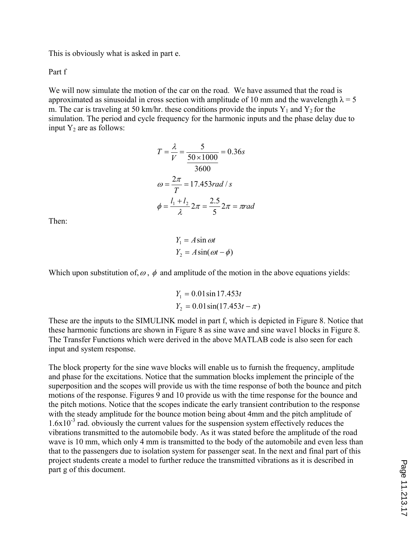This is obviously what is asked in part e.

Part f

We will now simulate the motion of the car on the road. We have assumed that the road is approximated as sinusoidal in cross section with amplitude of 10 mm and the wavelength  $\lambda = 5$ m. The car is traveling at 50 km/hr. these conditions provide the inputs  $Y_1$  and  $Y_2$  for the simulation. The period and cycle frequency for the harmonic inputs and the phase delay due to input  $Y_2$  are as follows:

$$
T = \frac{\lambda}{V} = \frac{5}{\frac{50 \times 1000}{3600}} = 0.36s
$$
  

$$
\omega = \frac{2\pi}{T} = 17.453 rad / s
$$
  

$$
\phi = \frac{l_1 + l_2}{\lambda} 2\pi = \frac{2.5}{5} 2\pi = \pi rad
$$

Then:

$$
Y_1 = A \sin \omega t
$$
  

$$
Y_2 = A \sin(\omega t - \phi)
$$

Which upon substitution of,  $\omega$ ,  $\phi$  and amplitude of the motion in the above equations yields:

$$
Y_1 = 0.01 \sin 17.453t
$$
  

$$
Y_2 = 0.01 \sin(17.453t - \pi)
$$

These are the inputs to the SIMULINK model in part f, which is depicted in Figure 8. Notice that these harmonic functions are shown in Figure 8 as sine wave and sine wave1 blocks in Figure 8. The Transfer Functions which were derived in the above MATLAB code is also seen for each input and system response.

The block property for the sine wave blocks will enable us to furnish the frequency, amplitude and phase for the excitations. Notice that the summation blocks implement the principle of the superposition and the scopes will provide us with the time response of both the bounce and pitch motions of the response. Figures 9 and 10 provide us with the time response for the bounce and the pitch motions. Notice that the scopes indicate the early transient contribution to the response with the steady amplitude for the bounce motion being about 4mm and the pitch amplitude of  $1.6x10^{-3}$  rad. obviously the current values for the suspension system effectively reduces the vibrations transmitted to the automobile body. As it was stated before the amplitude of the road wave is 10 mm, which only 4 mm is transmitted to the body of the automobile and even less than that to the passengers due to isolation system for passenger seat. In the next and final part of this project students create a model to further reduce the transmitted vibrations as it is described in part g of this document.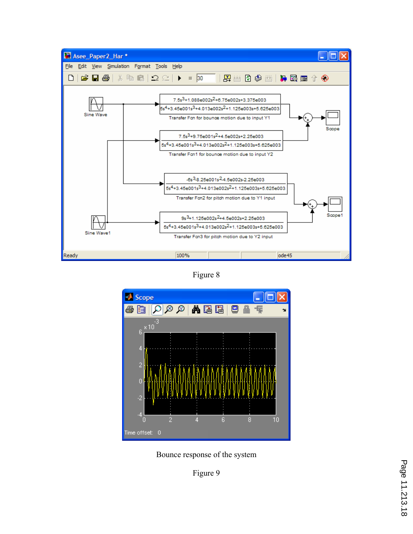

Figure 8



Bounce response of the system

Figure 9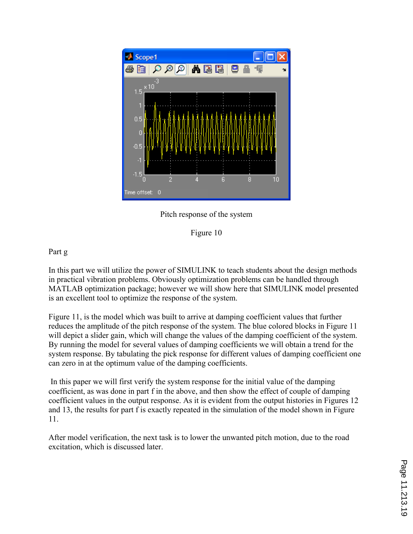

Pitch response of the system



# Part g

In this part we will utilize the power of SIMULINK to teach students about the design methods in practical vibration problems. Obviously optimization problems can be handled through MATLAB optimization package; however we will show here that SIMULINK model presented is an excellent tool to optimize the response of the system.

Figure 11, is the model which was built to arrive at damping coefficient values that further reduces the amplitude of the pitch response of the system. The blue colored blocks in Figure 11 will depict a slider gain, which will change the values of the damping coefficient of the system. By running the model for several values of damping coefficients we will obtain a trend for the system response. By tabulating the pick response for different values of damping coefficient one can zero in at the optimum value of the damping coefficients.

 In this paper we will first verify the system response for the initial value of the damping coefficient, as was done in part f in the above, and then show the effect of couple of damping coefficient values in the output response. As it is evident from the output histories in Figures 12 and 13, the results for part f is exactly repeated in the simulation of the model shown in Figure 11.

After model verification, the next task is to lower the unwanted pitch motion, due to the road excitation, which is discussed later.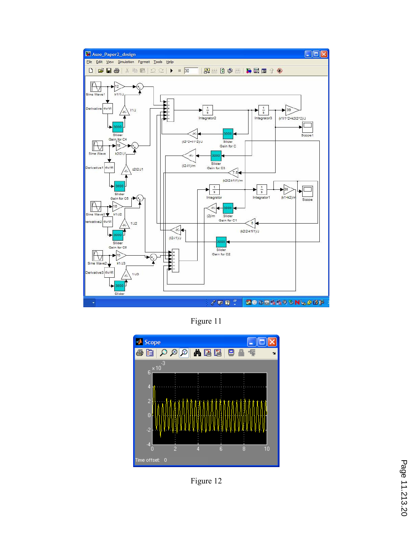

Figure 11



Figure 12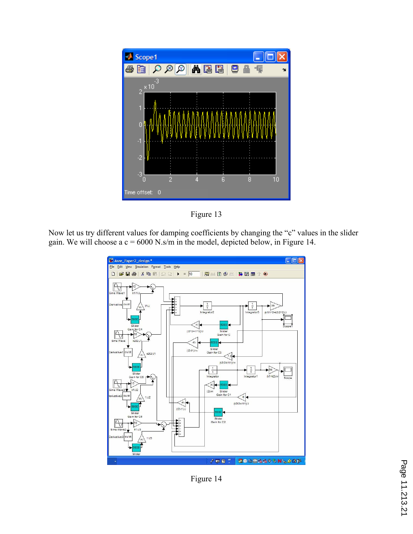



Now let us try different values for damping coefficients by changing the "c" values in the slider gain. We will choose a  $c = 6000$  N.s/m in the model, depicted below, in Figure 14.



Figure 14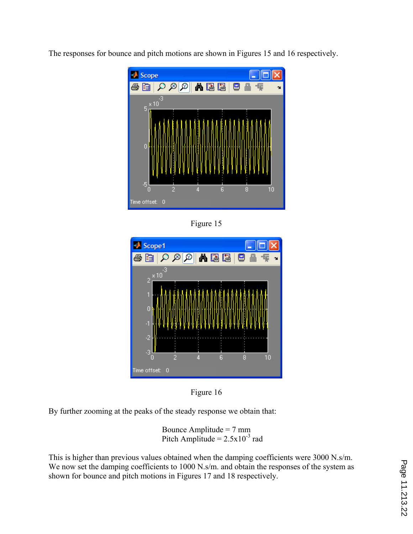The responses for bounce and pitch motions are shown in Figures 15 and 16 respectively.



Figure 15





By further zooming at the peaks of the steady response we obtain that:

Bounce Amplitude  $= 7$  mm Pitch Amplitude =  $2.5x10^{-3}$  rad

This is higher than previous values obtained when the damping coefficients were 3000 N.s/m. We now set the damping coefficients to 1000 N.s/m. and obtain the responses of the system as shown for bounce and pitch motions in Figures 17 and 18 respectively.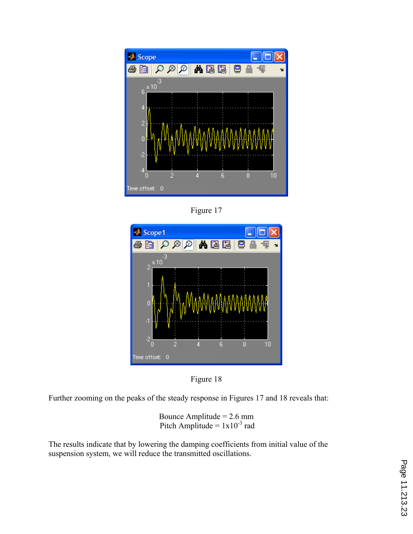

Figure 17





Further zooming on the peaks of the steady response in Figures 17 and 18 reveals that:

Bounce Amplitude  $= 2.6$  mm Pitch Amplitude =  $1x10^{-3}$  rad

The results indicate that by lowering the damping coefficients from initial value of the suspension system, we will reduce the transmitted oscillations.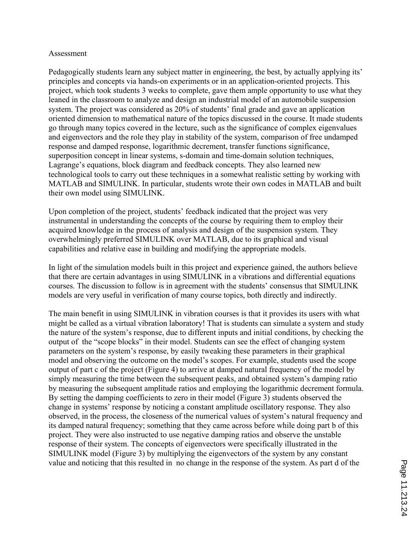### Assessment

Pedagogically students learn any subject matter in engineering, the best, by actually applying its' principles and concepts via hands-on experiments or in an application-oriented projects. This project, which took students 3 weeks to complete, gave them ample opportunity to use what they leaned in the classroom to analyze and design an industrial model of an automobile suspension system. The project was considered as 20% of students' final grade and gave an application oriented dimension to mathematical nature of the topics discussed in the course. It made students go through many topics covered in the lecture, such as the significance of complex eigenvalues and eigenvectors and the role they play in stability of the system, comparison of free undamped response and damped response, logarithmic decrement, transfer functions significance, superposition concept in linear systems, s-domain and time-domain solution techniques, Lagrange's equations, block diagram and feedback concepts. They also learned new technological tools to carry out these techniques in a somewhat realistic setting by working with MATLAB and SIMULINK. In particular, students wrote their own codes in MATLAB and built their own model using SIMULINK.

Upon completion of the project, students' feedback indicated that the project was very instrumental in understanding the concepts of the course by requiring them to employ their acquired knowledge in the process of analysis and design of the suspension system. They overwhelmingly preferred SIMULINK over MATLAB, due to its graphical and visual capabilities and relative ease in building and modifying the appropriate models.

In light of the simulation models built in this project and experience gained, the authors believe that there are certain advantages in using SIMULINK in a vibrations and differential equations courses. The discussion to follow is in agreement with the students' consensus that SIMULINK models are very useful in verification of many course topics, both directly and indirectly.

The main benefit in using SIMULINK in vibration courses is that it provides its users with what might be called as a virtual vibration laboratory! That is students can simulate a system and study the nature of the system's response, due to different inputs and initial conditions, by checking the output of the "scope blocks" in their model. Students can see the effect of changing system parameters on the system's response, by easily tweaking these parameters in their graphical model and observing the outcome on the model's scopes. For example, students used the scope output of part c of the project (Figure 4) to arrive at damped natural frequency of the model by simply measuring the time between the subsequent peaks, and obtained system's damping ratio by measuring the subsequent amplitude ratios and employing the logarithmic decrement formula. By setting the damping coefficients to zero in their model (Figure 3) students observed the change in systems' response by noticing a constant amplitude oscillatory response. They also observed, in the process, the closeness of the numerical values of system's natural frequency and its damped natural frequency; something that they came across before while doing part b of this project. They were also instructed to use negative damping ratios and observe the unstable response of their system. The concepts of eigenvectors were specifically illustrated in the SIMULINK model (Figure 3) by multiplying the eigenvectors of the system by any constant value and noticing that this resulted in no change in the response of the system. As part d of the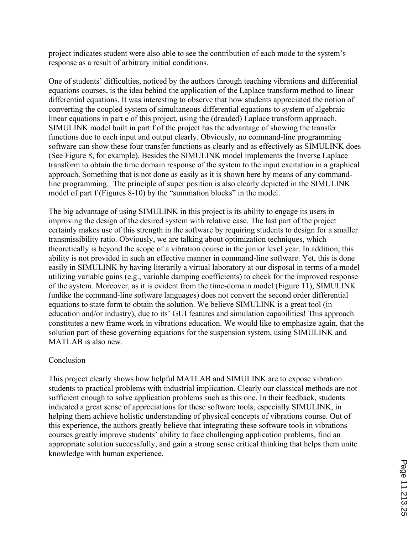project indicates student were also able to see the contribution of each mode to the system's response as a result of arbitrary initial conditions.

One of students' difficulties, noticed by the authors through teaching vibrations and differential equations courses, is the idea behind the application of the Laplace transform method to linear differential equations. It was interesting to observe that how students appreciated the notion of converting the coupled system of simultaneous differential equations to system of algebraic linear equations in part e of this project, using the (dreaded) Laplace transform approach. SIMULINK model built in part f of the project has the advantage of showing the transfer functions due to each input and output clearly. Obviously, no command-line programming software can show these four transfer functions as clearly and as effectively as SIMULINK does (See Figure 8, for example). Besides the SIMULINK model implements the Inverse Laplace transform to obtain the time domain response of the system to the input excitation in a graphical approach. Something that is not done as easily as it is shown here by means of any commandline programming. The principle of super position is also clearly depicted in the SIMULINK model of part f (Figures 8-10) by the "summation blocks" in the model.

The big advantage of using SIMULINK in this project is its ability to engage its users in improving the design of the desired system with relative ease. The last part of the project certainly makes use of this strength in the software by requiring students to design for a smaller transmissibility ratio. Obviously, we are talking about optimization techniques, which theoretically is beyond the scope of a vibration course in the junior level year. In addition, this ability is not provided in such an effective manner in command-line software. Yet, this is done easily in SIMULINK by having literarily a virtual laboratory at our disposal in terms of a model utilizing variable gains (e.g., variable damping coefficients) to check for the improved response of the system. Moreover, as it is evident from the time-domain model (Figure 11), SIMULINK (unlike the command-line software languages) does not convert the second order differential equations to state form to obtain the solution. We believe SIMULINK is a great tool (in education and/or industry), due to its' GUI features and simulation capabilities! This approach constitutes a new frame work in vibrations education. We would like to emphasize again, that the solution part of these governing equations for the suspension system, using SIMULINK and MATLAB is also new.

## Conclusion

This project clearly shows how helpful MATLAB and SIMULINK are to expose vibration students to practical problems with industrial implication. Clearly our classical methods are not sufficient enough to solve application problems such as this one. In their feedback, students indicated a great sense of appreciations for these software tools, especially SIMULINK, in helping them achieve holistic understanding of physical concepts of vibrations course. Out of this experience, the authors greatly believe that integrating these software tools in vibrations courses greatly improve students' ability to face challenging application problems, find an appropriate solution successfully, and gain a strong sense critical thinking that helps them unite knowledge with human experience.